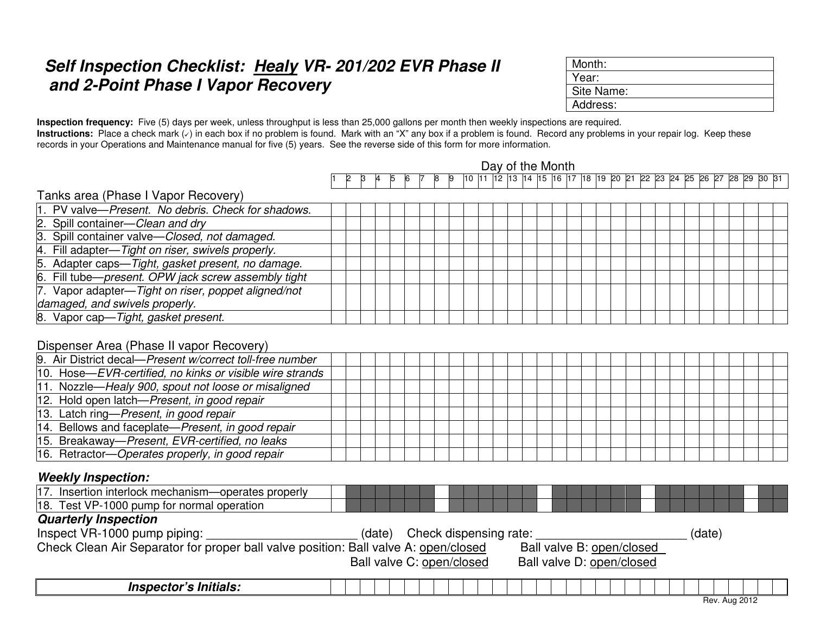## Self Inspection Checklist: Healy VR- 201/202 EVR Phase II  **and 2-Point Phase I Vapor Recovery**

| Month:     |  |
|------------|--|
| Year:      |  |
| Site Name: |  |
| Address:   |  |

**Inspection frequency:** Five (5) days per week, unless throughput is less than 25,000 gallons per month then weekly inspections are required. **Instructions:** Place a check mark ( $\checkmark$ ) in each box if no problem is found. Mark with an "X" any box if a problem is found. Record any problems in your repair log. Keep these records in your Operations and Maintenance manual for five (5) years. See the reverse side of this form for more information.

|                                                                                                               | Day of the Month<br>10    1    12    13    14    15    16    17    18    19    20    21 |  |  |  |  |  |  |  |  |                               |  |  |  |  |  |  |  |                           |  |        |               |          |  |
|---------------------------------------------------------------------------------------------------------------|-----------------------------------------------------------------------------------------|--|--|--|--|--|--|--|--|-------------------------------|--|--|--|--|--|--|--|---------------------------|--|--------|---------------|----------|--|
|                                                                                                               |                                                                                         |  |  |  |  |  |  |  |  |                               |  |  |  |  |  |  |  | $\overline{22}$ 23 24 25  |  | 26     | 28            | 29 30 31 |  |
| Tanks area (Phase I Vapor Recovery)                                                                           |                                                                                         |  |  |  |  |  |  |  |  |                               |  |  |  |  |  |  |  |                           |  |        |               |          |  |
| 1. PV valve-Present. No debris. Check for shadows.                                                            |                                                                                         |  |  |  |  |  |  |  |  |                               |  |  |  |  |  |  |  |                           |  |        |               |          |  |
| 2. Spill container-Clean and dry                                                                              |                                                                                         |  |  |  |  |  |  |  |  |                               |  |  |  |  |  |  |  |                           |  |        |               |          |  |
| 3. Spill container valve-Closed, not damaged.                                                                 |                                                                                         |  |  |  |  |  |  |  |  |                               |  |  |  |  |  |  |  |                           |  |        |               |          |  |
| 4. Fill adapter-Tight on riser, swivels properly.                                                             |                                                                                         |  |  |  |  |  |  |  |  |                               |  |  |  |  |  |  |  |                           |  |        |               |          |  |
| 5. Adapter caps—Tight, gasket present, no damage.                                                             |                                                                                         |  |  |  |  |  |  |  |  |                               |  |  |  |  |  |  |  |                           |  |        |               |          |  |
| 6. Fill tube-present. OPW jack screw assembly tight                                                           |                                                                                         |  |  |  |  |  |  |  |  |                               |  |  |  |  |  |  |  |                           |  |        |               |          |  |
| 7. Vapor adapter-Tight on riser, poppet aligned/not                                                           |                                                                                         |  |  |  |  |  |  |  |  |                               |  |  |  |  |  |  |  |                           |  |        |               |          |  |
| damaged, and swivels properly.                                                                                |                                                                                         |  |  |  |  |  |  |  |  |                               |  |  |  |  |  |  |  |                           |  |        |               |          |  |
| 8. Vapor cap-Tight, gasket present.                                                                           |                                                                                         |  |  |  |  |  |  |  |  |                               |  |  |  |  |  |  |  |                           |  |        |               |          |  |
| Dispenser Area (Phase II vapor Recovery)                                                                      |                                                                                         |  |  |  |  |  |  |  |  |                               |  |  |  |  |  |  |  |                           |  |        |               |          |  |
| 9. Air District decal-Present w/correct toll-free number                                                      |                                                                                         |  |  |  |  |  |  |  |  |                               |  |  |  |  |  |  |  |                           |  |        |               |          |  |
| 10. Hose-EVR-certified, no kinks or visible wire strands                                                      |                                                                                         |  |  |  |  |  |  |  |  |                               |  |  |  |  |  |  |  |                           |  |        |               |          |  |
| 11. Nozzle-Healy 900, spout not loose or misaligned                                                           |                                                                                         |  |  |  |  |  |  |  |  |                               |  |  |  |  |  |  |  |                           |  |        |               |          |  |
| 12. Hold open latch-Present, in good repair                                                                   |                                                                                         |  |  |  |  |  |  |  |  |                               |  |  |  |  |  |  |  |                           |  |        |               |          |  |
| 13. Latch ring-Present, in good repair                                                                        |                                                                                         |  |  |  |  |  |  |  |  |                               |  |  |  |  |  |  |  |                           |  |        |               |          |  |
| 14. Bellows and faceplate-Present, in good repair                                                             |                                                                                         |  |  |  |  |  |  |  |  |                               |  |  |  |  |  |  |  |                           |  |        |               |          |  |
| 15. Breakaway-Present, EVR-certified, no leaks                                                                |                                                                                         |  |  |  |  |  |  |  |  |                               |  |  |  |  |  |  |  |                           |  |        |               |          |  |
| 16. Retractor-Operates properly, in good repair                                                               |                                                                                         |  |  |  |  |  |  |  |  |                               |  |  |  |  |  |  |  |                           |  |        |               |          |  |
| <b>Weekly Inspection:</b>                                                                                     |                                                                                         |  |  |  |  |  |  |  |  |                               |  |  |  |  |  |  |  |                           |  |        |               |          |  |
| 17. Insertion interlock mechanism-operates properly                                                           |                                                                                         |  |  |  |  |  |  |  |  |                               |  |  |  |  |  |  |  |                           |  |        |               |          |  |
| 18. Test VP-1000 pump for normal operation                                                                    |                                                                                         |  |  |  |  |  |  |  |  |                               |  |  |  |  |  |  |  |                           |  |        |               |          |  |
| <b>Quarterly Inspection</b>                                                                                   |                                                                                         |  |  |  |  |  |  |  |  |                               |  |  |  |  |  |  |  |                           |  |        |               |          |  |
| Inspect VR-1000 pump piping:                                                                                  |                                                                                         |  |  |  |  |  |  |  |  | (date) Check dispensing rate: |  |  |  |  |  |  |  |                           |  | (date) |               |          |  |
| Check Clean Air Separator for proper ball valve position: Ball valve A: open/closed Ball valve B: open/closed |                                                                                         |  |  |  |  |  |  |  |  |                               |  |  |  |  |  |  |  |                           |  |        |               |          |  |
|                                                                                                               |                                                                                         |  |  |  |  |  |  |  |  | Ball valve C: open/closed     |  |  |  |  |  |  |  | Ball valve D: open/closed |  |        |               |          |  |
| Inspector's Initials:                                                                                         |                                                                                         |  |  |  |  |  |  |  |  |                               |  |  |  |  |  |  |  |                           |  |        |               |          |  |
|                                                                                                               |                                                                                         |  |  |  |  |  |  |  |  |                               |  |  |  |  |  |  |  |                           |  |        | Rev. Aug 2012 |          |  |